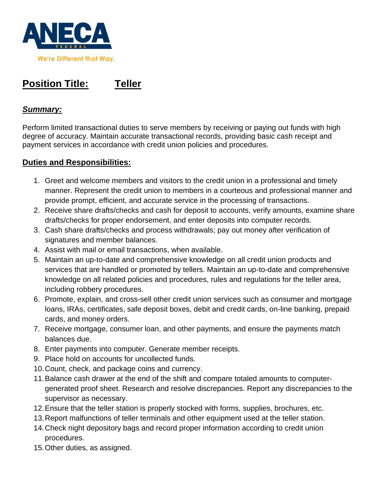

# **Position Title: Teller**

# *Summary:*

Perform limited transactional duties to serve members by receiving or paying out funds with high degree of accuracy. Maintain accurate transactional records, providing basic cash receipt and payment services in accordance with credit union policies and procedures.

# **Duties and Responsibilities:**

- 1. Greet and welcome members and visitors to the credit union in a professional and timely manner. Represent the credit union to members in a courteous and professional manner and provide prompt, efficient, and accurate service in the processing of transactions.
- 2. Receive share drafts/checks and cash for deposit to accounts, verify amounts, examine share drafts/checks for proper endorsement, and enter deposits into computer records.
- 3. Cash share drafts/checks and process withdrawals; pay out money after verification of signatures and member balances.
- 4. Assist with mail or email transactions, when available.
- 5. Maintain an up-to-date and comprehensive knowledge on all credit union products and services that are handled or promoted by tellers. Maintain an up-to-date and comprehensive knowledge on all related policies and procedures, rules and regulations for the teller area, including robbery procedures.
- 6. Promote, explain, and cross-sell other credit union services such as consumer and mortgage loans, IRAs, certificates, safe deposit boxes, debit and credit cards, on-line banking, prepaid cards, and money orders.
- 7. Receive mortgage, consumer loan, and other payments, and ensure the payments match balances due.
- 8. Enter payments into computer. Generate member receipts.
- 9. Place hold on accounts for uncollected funds.
- 10.Count, check, and package coins and currency.
- 11.Balance cash drawer at the end of the shift and compare totaled amounts to computergenerated proof sheet. Research and resolve discrepancies. Report any discrepancies to the supervisor as necessary.
- 12.Ensure that the teller station is properly stocked with forms, supplies, brochures, etc.
- 13.Report malfunctions of teller terminals and other equipment used at the teller station.
- 14.Check night depository bags and record proper information according to credit union procedures.
- 15.Other duties, as assigned.